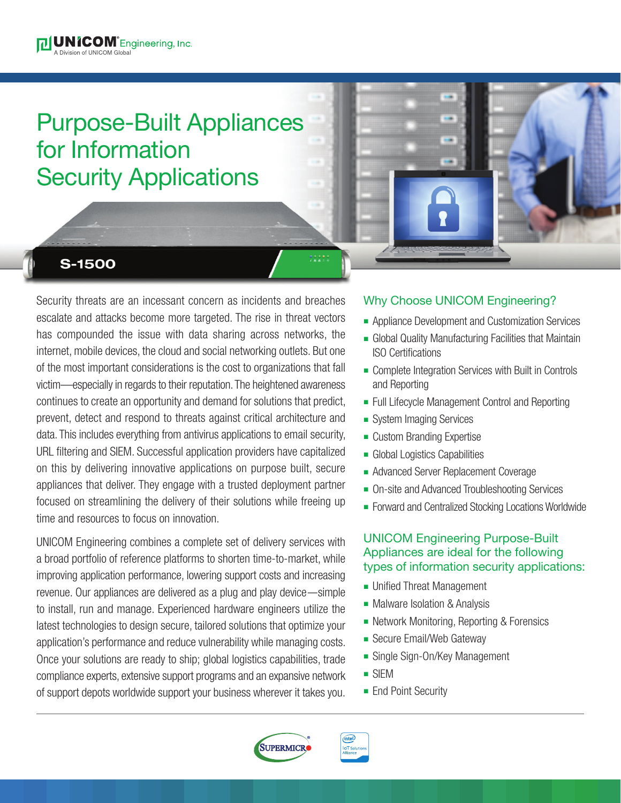# Purpose-Built Appliances for Information Security Applications

# **S-1500**

Security threats are an incessant concern as incidents and breaches Why Choose UNICOM Engineering? escalate and attacks become more targeted. The rise in threat vectors has compounded the issue with data sharing across networks, the internet, mobile devices, the cloud and social networking outlets. But one of the most important considerations is the cost to organizations that fall victim—especially in regards to their reputation. The heightened awareness continues to create an opportunity and demand for solutions that predict, prevent, detect and respond to threats against critical architecture and data. This includes everything from antivirus applications to email security, URL filtering and SIEM. Successful application providers have capitalized on this by delivering innovative applications on purpose built, secure appliances that deliver. They engage with a trusted deployment partner focused on streamlining the delivery of their solutions while freeing up time and resources to focus on innovation.

UNICOM Engineering combines a complete set of delivery services with a broad portfolio of reference platforms to shorten time-to-market, while improving application performance, lowering support costs and increasing revenue. Our appliances are delivered as a plug and play device—simple to install, run and manage. Experienced hardware engineers utilize the latest technologies to design secure, tailored solutions that optimize your application's performance and reduce vulnerability while managing costs. Once your solutions are ready to ship; global logistics capabilities, trade compliance experts, extensive support programs and an expansive network of support depots worldwide support your business wherever it takes you.

- **Appliance Development and Customization Services**
- **Global Quality Manufacturing Facilities that Maintain** ISO Certifications
- Complete Integration Services with Built in Controls and Reporting
- Full Lifecycle Management Control and Reporting
- System Imaging Services
- Custom Branding Expertise
- **n** Global Logistics Capabilities
- **Advanced Server Replacement Coverage**
- On-site and Advanced Troubleshooting Services
- Forward and Centralized Stocking Locations Worldwide

## UNICOM Engineering Purpose-Built Appliances are ideal for the following types of information security applications:

- **Unified Threat Management**
- Malware Isolation & Analysis
- **Network Monitoring, Reporting & Forensics**
- **Secure Email/Web Gateway**
- **Single Sign-On/Key Management**
- $\blacksquare$  SIEM
- **End Point Security**